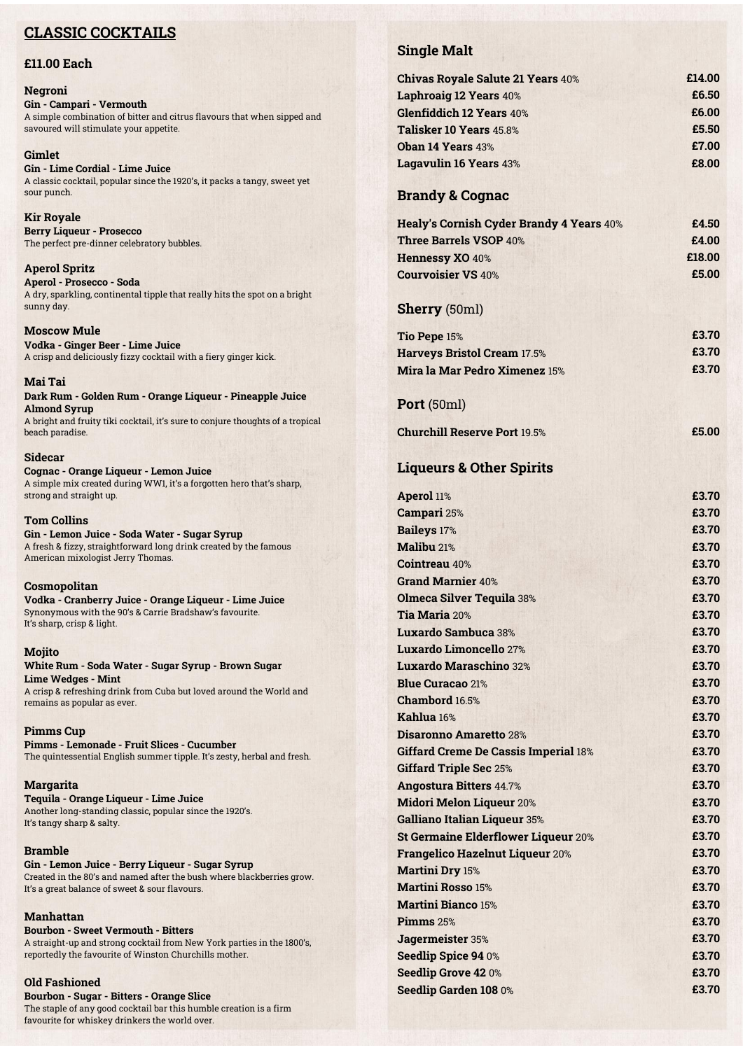# **CLASSIC COCKTAILS**

## **£11.00 Each**

#### **Negroni Gin - Campari - Vermouth** A simple combination of bitter and citrus flavours that when sipped and savoured will stimulate your appetite.

**Gimlet Gin - Lime Cordial - Lime Juice** A classic cocktail, popular since the 1920's, it packs a tangy, sweet yet sour punch.

**Kir Royale Berry Liqueur - Prosecco** The perfect pre-dinner celebratory bubbles.

#### **Aperol Spritz Aperol - Prosecco - Soda** A dry, sparkling, continental tipple that really hits the spot on a bright sunny day.

**Moscow Mule Vodka - Ginger Beer - Lime Juice** A crisp and deliciously fizzy cocktail with a fiery ginger kick.

#### **Mai Tai Dark Rum - Golden Rum - Orange Liqueur - Pineapple Juice Almond Syrup**

A bright and fruity tiki cocktail, it's sure to conjure thoughts of a tropical beach paradise.

#### **Sidecar**

**Cognac - Orange Liqueur - Lemon Juice** A simple mix created during WW1, it's a forgotten hero that's sharp, strong and straight up.

### **Tom Collins**

**Gin - Lemon Juice - Soda Water - Sugar Syrup** A fresh & fizzy, straightforward long drink created by the famous American mixologist Jerry Thomas.

#### **Cosmopolitan**

**Vodka - Cranberry Juice - Orange Liqueur - Lime Juice** Synonymous with the 90's & Carrie Bradshaw's favourite. It's sharp, crisp & light.

#### **Mojito**

#### **White Rum - Soda Water - Sugar Syrup - Brown Sugar Lime Wedges - Mint**

A crisp & refreshing drink from Cuba but loved around the World and remains as popular as ever.

#### **Pimms Cup**

**Pimms - Lemonade - Fruit Slices - Cucumber** The quintessential English summer tipple. It's zesty, herbal and fresh.

#### **Margarita**

**Tequila - Orange Liqueur - Lime Juice** Another long-standing classic, popular since the 1920's. It's tangy sharp & salty.

#### **Bramble**

**Gin - Lemon Juice - Berry Liqueur - Sugar Syrup** Created in the 80's and named after the bush where blackberries grow. It's a great balance of sweet & sour flavours.

#### **Manhattan**

**Bourbon - Sweet Vermouth - Bitters** A straight-up and strong cocktail from New York parties in the 1800's, reportedly the favourite of Winston Churchills mother.

#### **Old Fashioned**

**Bourbon - Sugar - Bitters - Orange Slice** The staple of any good cocktail bar this humble creation is a firm favourite for whiskey drinkers the world over.

# **Single Malt**

| <b>Chivas Royale Salute 21 Years 40%</b>        | £14.00 |
|-------------------------------------------------|--------|
| Laphroaig 12 Years 40%                          | £6.50  |
| <b>Glenfiddich 12 Years 40%</b>                 | £6.00  |
| Talisker 10 Years 45.8%                         | £5.50  |
| <b>Oban 14 Years 43%</b>                        | £7.00  |
| <b>Lagavulin 16 Years 43%</b>                   | £8.00  |
| <b>Brandy &amp; Cognac</b>                      |        |
| <b>Healy's Cornish Cyder Brandy 4 Years 40%</b> | £4.50  |
| <b>Three Barrels VSOP 40%</b>                   | £4.00  |
| <b>Hennessy XO 40%</b>                          | £18.00 |
| <b>Courvoisier VS 40%</b>                       | £5.00  |
| <b>Sherry</b> (50ml)                            |        |
| Tio Pepe 15%                                    | £3.70  |
| <b>Harveys Bristol Cream 17.5%</b>              | £3.70  |
| Mira la Mar Pedro Ximenez 15%                   | £3.70  |
| Port (50ml)                                     |        |
| <b>Churchill Reserve Port 19.5%</b>             | £5.00  |
| <b>Liqueurs &amp; Other Spirits</b>             |        |
| Aperol 11%                                      | £3.70  |
| Campari 25%                                     | £3.70  |
| <b>Baileys</b> 17%                              | £3.70  |
| Malibu 21%                                      | £3.70  |
| <b>Cointreau 40%</b>                            | £3.70  |
| <b>Grand Marnier 40%</b>                        | £3.70  |
| <b>Olmeca Silver Tequila 38%</b>                | £3.70  |
| Tia Maria 20%                                   | £3.70  |
| Luxardo Sambuca 38%                             | £3.70  |
| Luxardo Limoncello 27%                          | £3.70  |
| <b>Luxardo Maraschino 32%</b>                   | £3.70  |
| <b>Blue Curacao 21%</b>                         | £3.70  |
| Chambord 16.5%                                  | £3.70  |
| Kahlua 16%                                      | £3.70  |
| Disaronno Amaretto 28%                          | £3.70  |
| <b>Giffard Creme De Cassis Imperial 18%</b>     | £3.70  |
| <b>Giffard Triple Sec 25%</b>                   | £3.70  |
| <b>Angostura Bitters 44.7%</b>                  | £3.70  |
| <b>Midori Melon Liqueur 20%</b>                 | £3.70  |
| <b>Galliano Italian Liqueur 35%</b>             | £3.70  |
| <b>St Germaine Elderflower Liqueur 20%</b>      | £3.70  |
| <b>Frangelico Hazelnut Liqueur 20%</b>          | £3.70  |
| <b>Martini Dry 15%</b>                          | £3.70  |
| <b>Martini Rosso 15%</b>                        | £3.70  |
| <b>Martini Bianco 15%</b>                       | £3.70  |
| Pimms 25%                                       | £3.70  |
| Jagermeister 35%                                | £3.70  |
| Seedlip Spice 94 0%                             | £3.70  |
| <b>Seedlip Grove 420%</b>                       | £3.70  |
| Seedlip Garden 108 0%                           | £3.70  |